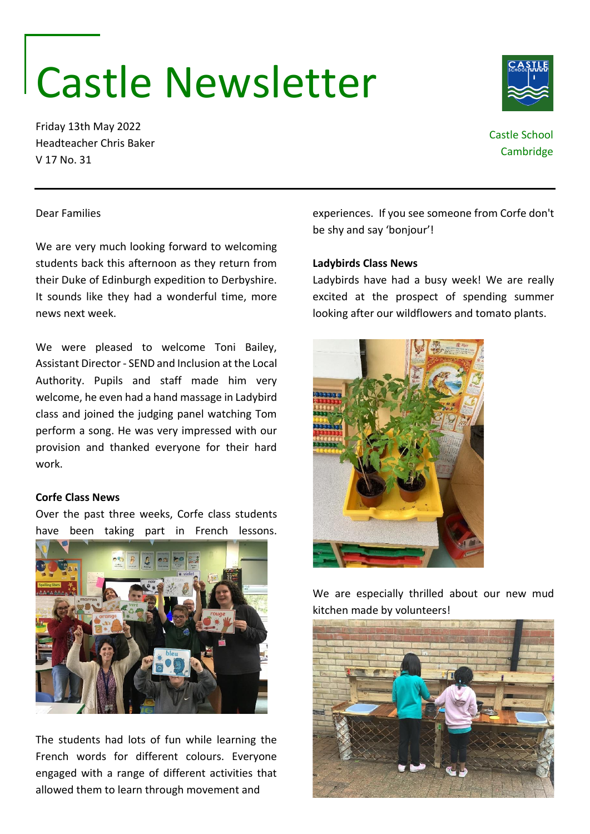# Castle Newsletter

Friday 13th May 2022 Headteacher Chris Baker V 17 No. 31

## Castle School **Cambridge**

#### Dear Families

We are very much looking forward to welcoming students back this afternoon as they return from their Duke of Edinburgh expedition to Derbyshire. It sounds like they had a wonderful time, more news next week.

We were pleased to welcome Toni Bailey, Assistant Director - SEND and Inclusion at the Local Authority. Pupils and staff made him very welcome, he even had a hand massage in Ladybird class and joined the judging panel watching Tom perform a song. He was very impressed with our provision and thanked everyone for their hard work.

#### **Corfe Class News**

Over the past three weeks, Corfe class students have been taking part in French lessons.



The students had lots of fun while learning the French words for different colours. Everyone engaged with a range of different activities that allowed them to learn through movement and

experiences. If you see someone from Corfe don't be shy and say 'bonjour'!

#### **Ladybirds Class News**

Ladybirds have had a busy week! We are really excited at the prospect of spending summer looking after our wildflowers and tomato plants.



We are especially thrilled about our new mud kitchen made by volunteers!